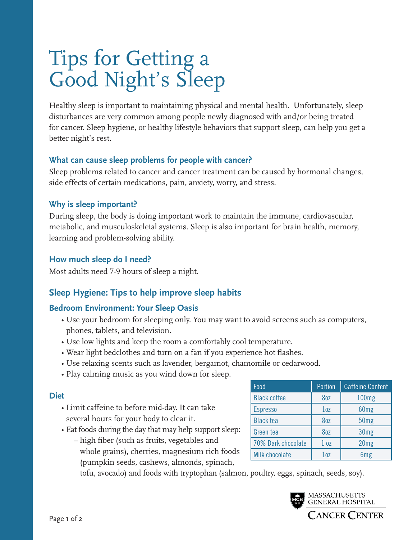# Tips for Getting a Good Night's Sleep

Healthy sleep is important to maintaining physical and mental health. Unfortunately, sleep disturbances are very common among people newly diagnosed with and/or being treated for cancer. Sleep hygiene, or healthy lifestyle behaviors that support sleep, can help you get a better night's rest.

#### **What can cause sleep problems for people with cancer?**

Sleep problems related to cancer and cancer treatment can be caused by hormonal changes, side effects of certain medications, pain, anxiety, worry, and stress.

#### **Why is sleep important?**

During sleep, the body is doing important work to maintain the immune, cardiovascular, metabolic, and musculoskeletal systems. Sleep is also important for brain health, memory, learning and problem-solving ability.

#### **How much sleep do I need?**

Most adults need 7-9 hours of sleep a night.

# **Sleep Hygiene: Tips to help improve sleep habits**

#### **Bedroom Environment: Your Sleep Oasis**

- Use your bedroom for sleeping only. You may want to avoid screens such as computers, phones, tablets, and television.
- Use low lights and keep the room a comfortably cool temperature.
- Wear light bedclothes and turn on a fan if you experience hot flashes.
- Use relaxing scents such as lavender, bergamot, chamomile or cedarwood.
- Play calming music as you wind down for sleep.

#### **Diet**

- Limit caffeine to before mid-day. It can take several hours for your body to clear it.
- Eat foods during the day that may help support sleep:
	- high fiber (such as fruits, vegetables and whole grains), cherries, magnesium rich foods (pumpkin seeds, cashews, almonds, spinach,

Food **Portion Caffeine Content** Black coffee 8oz 100mg Espresso and 1oz 60mg Black tea  $\begin{array}{|c|c|c|c|c|} \hline \text{Black tea} & \text{Base} & \text{S0mg} \hline \end{array}$ Green tea  $\begin{array}{|c|c|c|c|c|c|} \hline \text{Green} & \text{He} & \text{O} & \text{O} & \text{O} & \text{O} & \text{O} \end{array}$ 70% Dark chocolate 1 oz | 20mg Milk chocolate  $\begin{vmatrix} 1 & 0 \\ 0 & \end{vmatrix}$  6mg

tofu, avocado) and foods with tryptophan (salmon, poultry, eggs, spinach, seeds, soy).